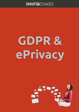# SMARTYESSAGES

# GDPR& ePrivacy